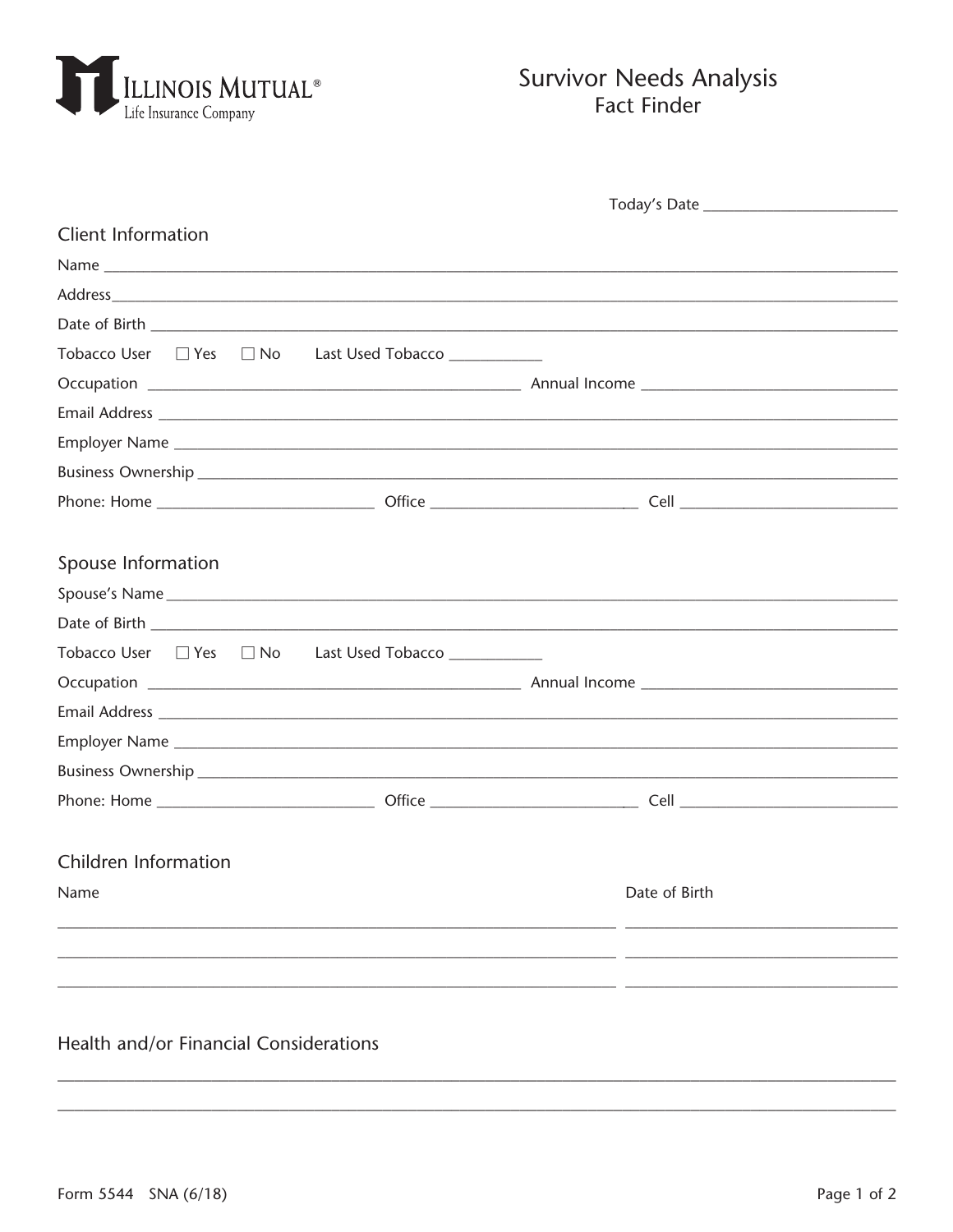

## **Survivor Needs Analysis Fact Finder**

| <b>Client Information</b>                             |  |               |  |
|-------------------------------------------------------|--|---------------|--|
|                                                       |  |               |  |
|                                                       |  |               |  |
|                                                       |  |               |  |
| Tobacco User □ Yes □ No Last Used Tobacco ___________ |  |               |  |
|                                                       |  |               |  |
|                                                       |  |               |  |
|                                                       |  |               |  |
|                                                       |  |               |  |
|                                                       |  |               |  |
|                                                       |  |               |  |
| Spouse Information                                    |  |               |  |
|                                                       |  |               |  |
|                                                       |  |               |  |
| Tobacco User □ Yes □ No Last Used Tobacco ___________ |  |               |  |
|                                                       |  |               |  |
|                                                       |  |               |  |
|                                                       |  |               |  |
|                                                       |  |               |  |
|                                                       |  |               |  |
|                                                       |  |               |  |
| Children Information                                  |  |               |  |
| Name                                                  |  | Date of Birth |  |
|                                                       |  |               |  |
|                                                       |  |               |  |
|                                                       |  |               |  |
|                                                       |  |               |  |

## Health and/or Financial Considerations